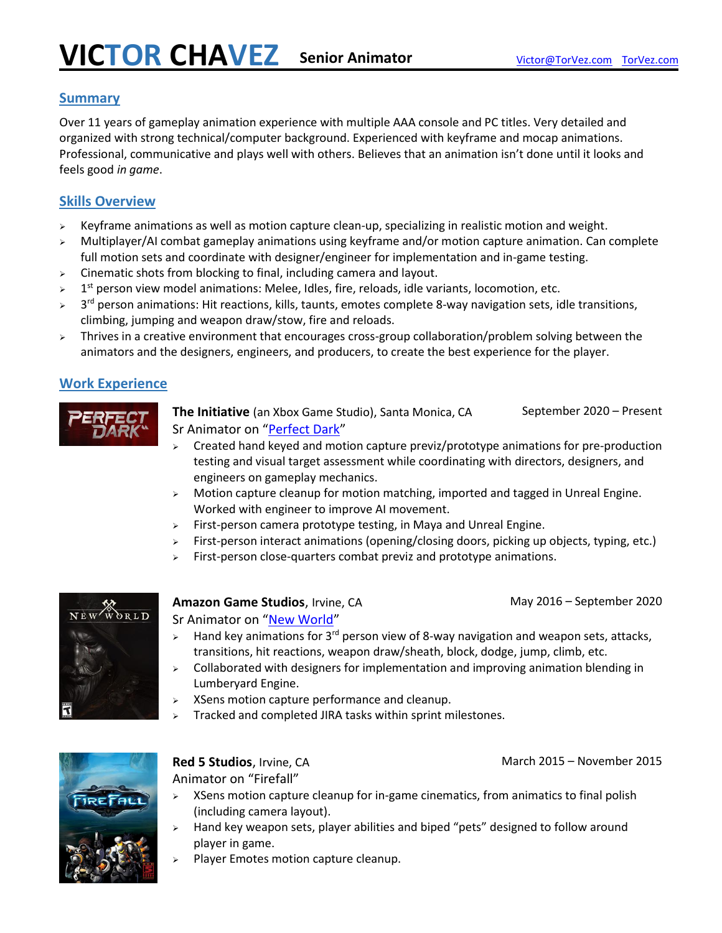#### **Summary**

Over 11 years of gameplay animation experience with multiple AAA console and PC titles. Very detailed and organized with strong technical/computer background. Experienced with keyframe and mocap animations. Professional, communicative and plays well with others. Believes that an animation isn't done until it looks and feels good *in game*.

#### **Skills Overview**

- $\triangleright$  Keyframe animations as well as motion capture clean-up, specializing in realistic motion and weight.
- ➢ Multiplayer/AI combat gameplay animations using keyframe and/or motion capture animation. Can complete full motion sets and coordinate with designer/engineer for implementation and in-game testing.
- $\geq$  Cinematic shots from blocking to final, including camera and layout.
- $\triangleright$  1<sup>st</sup> person view model animations: Melee, Idles, fire, reloads, idle variants, locomotion, etc.
- $\blacktriangleright$ 3<sup>rd</sup> person animations: Hit reactions, kills, taunts, emotes complete 8-way navigation sets, idle transitions, climbing, jumping and weapon draw/stow, fire and reloads.
- > Thrives in a creative environment that encourages cross-group collaboration/problem solving between the animators and the designers, engineers, and producers, to create the best experience for the player.

### **Work Experience**



**The Initiative** (an Xbox Game Studio), Santa Monica, CA September 2020 – Present Sr Animator on "[Perfect Dark](https://news.xbox.com/en-us/2020/12/10/announcing-perfect-dark-from-the-initiative/)"

- $\triangleright$  Created hand keyed and motion capture previz/prototype animations for pre-production testing and visual target assessment while coordinating with directors, designers, and engineers on gameplay mechanics.
- $\triangleright$  Motion capture cleanup for motion matching, imported and tagged in Unreal Engine. Worked with engineer to improve AI movement.
- ➢ First-person camera prototype testing, in Maya and Unreal Engine.
- ➢ First-person interact animations (opening/closing doors, picking up objects, typing, etc.)
- ➢ First-person close-quarters combat previz and prototype animations.



#### **Amazon Game Studios**, Irvine, CA May 2016 – September 2020 Sr Animator on "[New World](https://www.newworld.com/en-us)"

- Hand key animations for  $3<sup>rd</sup>$  person view of 8-way navigation and weapon sets, attacks, transitions, hit reactions, weapon draw/sheath, block, dodge, jump, climb, etc.
- ➢ Collaborated with designers for implementation and improving animation blending in Lumberyard Engine.
- ➢ XSens motion capture performance and cleanup.
- $\triangleright$  Tracked and completed JIRA tasks within sprint milestones.



**Red 5 Studios**, Irvine, CA March 2015 – November 2015 Animator on "Firefall"

- ➢ XSens motion capture cleanup for in-game cinematics, from animatics to final polish (including camera layout).
- Hand key weapon sets, player abilities and biped "pets" designed to follow around player in game.
- ➢ Player Emotes motion capture cleanup.